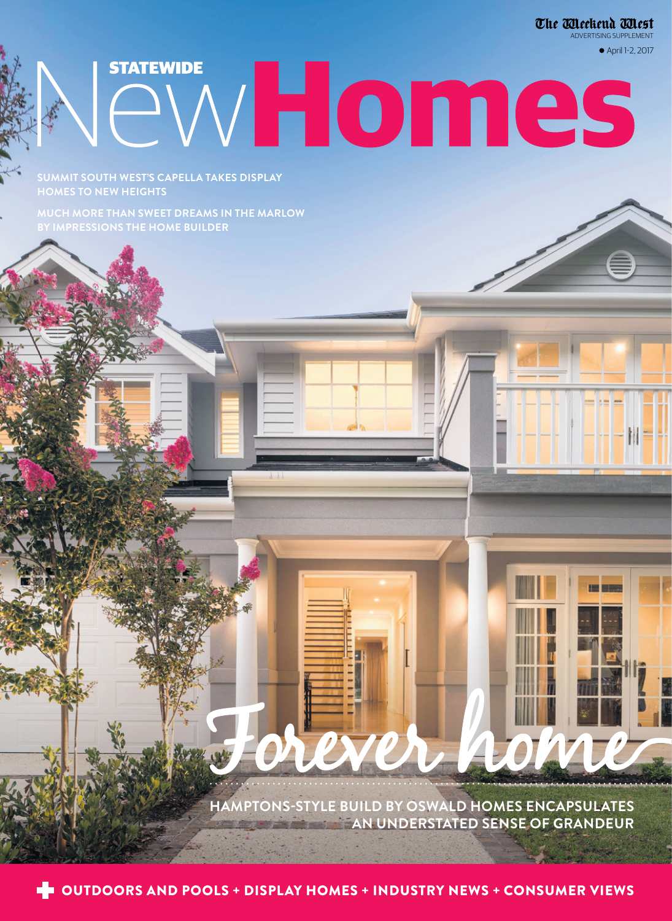The Meckend Mest ADVERTISING SUPPLEMENT

April 1-2, 2017

**SUMMIT SOUTH WEST'S CAPELLA TAKES DISPLAY HOMES TO NEW HEIGHTS**

**STATEWIDE** 

**MUCH MORE THAN SWEET DREAMS IN THE MARLOW BY IMPRESSIONS THE HOME BUILDER** 

> **HAMPTONS-STYLE BUILD BY OSWALD HOMES ENCAPSULATES AN UNDERSTATED SENSE OF GRANDEUR** Forever home

WHomes

**DE OUTDOORS AND POOLS + DISPLAY HOMES + INDUSTRY NEWS + CONSUMER VIEWS**